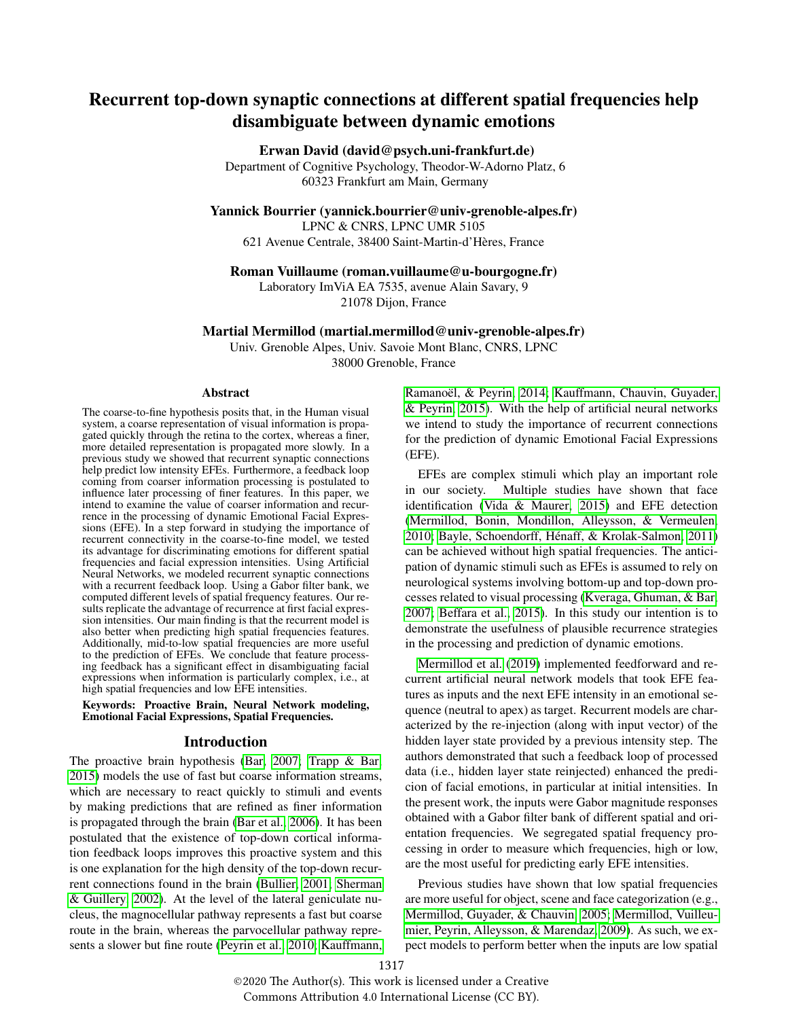# Recurrent top-down synaptic connections at different spatial frequencies help disambiguate between dynamic emotions

## Erwan David (david@psych.uni-frankfurt.de)

Department of Cognitive Psychology, Theodor-W-Adorno Platz, 6 60323 Frankfurt am Main, Germany

Yannick Bourrier (yannick.bourrier@univ-grenoble-alpes.fr)

LPNC & CNRS, LPNC UMR 5105

621 Avenue Centrale, 38400 Saint-Martin-d'Heres, France `

### Roman Vuillaume (roman.vuillaume@u-bourgogne.fr)

Laboratory ImViA EA 7535, avenue Alain Savary, 9 21078 Dijon, France

#### Martial Mermillod (martial.mermillod@univ-grenoble-alpes.fr)

Univ. Grenoble Alpes, Univ. Savoie Mont Blanc, CNRS, LPNC 38000 Grenoble, France

#### Abstract

The coarse-to-fine hypothesis posits that, in the Human visual system, a coarse representation of visual information is propagated quickly through the retina to the cortex, whereas a finer, more detailed representation is propagated more slowly. In a previous study we showed that recurrent synaptic connections help predict low intensity EFEs. Furthermore, a feedback loop coming from coarser information processing is postulated to influence later processing of finer features. In this paper, we intend to examine the value of coarser information and recurrence in the processing of dynamic Emotional Facial Expressions (EFE). In a step forward in studying the importance of recurrent connectivity in the coarse-to-fine model, we tested its advantage for discriminating emotions for different spatial frequencies and facial expression intensities. Using Artificial Neural Networks, we modeled recurrent synaptic connections with a recurrent feedback loop. Using a Gabor filter bank, we computed different levels of spatial frequency features. Our results replicate the advantage of recurrence at first facial expression intensities. Our main finding is that the recurrent model is also better when predicting high spatial frequencies features. Additionally, mid-to-low spatial frequencies are more useful to the prediction of EFEs. We conclude that feature processing feedback has a significant effect in disambiguating facial expressions when information is particularly complex, i.e., at high spatial frequencies and low EFE intensities.

Keywords: Proactive Brain, Neural Network modeling, Emotional Facial Expressions, Spatial Frequencies.

### Introduction

The proactive brain hypothesis [\(Bar, 2007;](#page-5-0) [Trapp & Bar,](#page-6-0) [2015\)](#page-6-0) models the use of fast but coarse information streams, which are necessary to react quickly to stimuli and events by making predictions that are refined as finer information is propagated through the brain [\(Bar et al., 2006\)](#page-5-1). It has been postulated that the existence of top-down cortical information feedback loops improves this proactive system and this is one explanation for the high density of the top-down recurrent connections found in the brain [\(Bullier, 2001;](#page-5-2) [Sherman](#page-6-1) [& Guillery, 2002\)](#page-6-1). At the level of the lateral geniculate nucleus, the magnocellular pathway represents a fast but coarse route in the brain, whereas the parvocellular pathway represents a slower but fine route [\(Peyrin et al., 2010;](#page-6-2) [Kauffmann,](#page-5-3) Ramanoël, & Peyrin, 2014; [Kauffmann, Chauvin, Guyader,](#page-5-4) [& Peyrin, 2015\)](#page-5-4). With the help of artificial neural networks we intend to study the importance of recurrent connections for the prediction of dynamic Emotional Facial Expressions (EFE).

EFEs are complex stimuli which play an important role in our society. Multiple studies have shown that face identification [\(Vida & Maurer, 2015\)](#page-6-3) and EFE detection [\(Mermillod, Bonin, Mondillon, Alleysson, & Vermeulen,](#page-5-5) [2010;](#page-5-5) [Bayle, Schoendorff, Henaff, & Krolak-Salmon, 2011\)](#page-5-6) ´ can be achieved without high spatial frequencies. The anticipation of dynamic stimuli such as EFEs is assumed to rely on neurological systems involving bottom-up and top-down processes related to visual processing [\(Kveraga, Ghuman, & Bar,](#page-5-7) [2007;](#page-5-7) [Beffara et al., 2015\)](#page-5-8). In this study our intention is to demonstrate the usefulness of plausible recurrence strategies in the processing and prediction of dynamic emotions.

[Mermillod et al.](#page-5-9) [\(2019\)](#page-5-9) implemented feedforward and recurrent artificial neural network models that took EFE features as inputs and the next EFE intensity in an emotional sequence (neutral to apex) as target. Recurrent models are characterized by the re-injection (along with input vector) of the hidden layer state provided by a previous intensity step. The authors demonstrated that such a feedback loop of processed data (i.e., hidden layer state reinjected) enhanced the predicion of facial emotions, in particular at initial intensities. In the present work, the inputs were Gabor magnitude responses obtained with a Gabor filter bank of different spatial and orientation frequencies. We segregated spatial frequency processing in order to measure which frequencies, high or low, are the most useful for predicting early EFE intensities.

Previous studies have shown that low spatial frequencies are more useful for object, scene and face categorization (e.g., [Mermillod, Guyader, & Chauvin, 2005;](#page-5-10) [Mermillod, Vuilleu](#page-6-4)[mier, Peyrin, Alleysson, & Marendaz, 2009\)](#page-6-4). As such, we expect models to perform better when the inputs are low spatial

©2020 The Author(s). This work is licensed under a Creative Commons Attribution 4.0 International License (CC BY).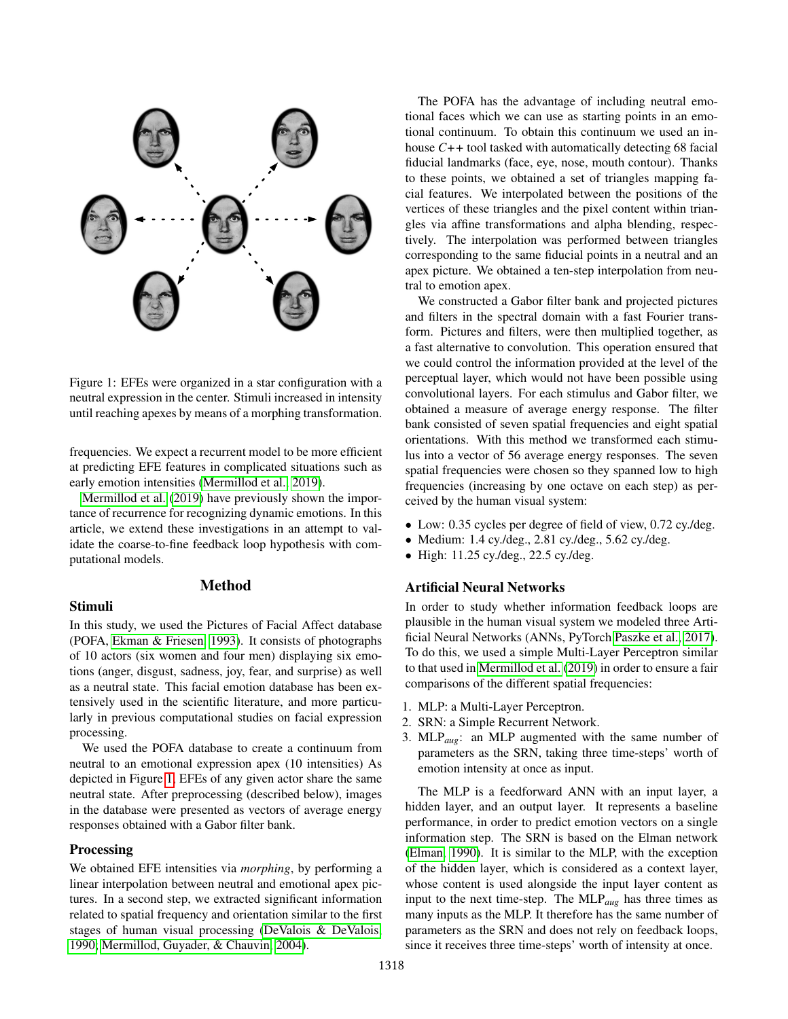

<span id="page-1-0"></span>Figure 1: EFEs were organized in a star configuration with a neutral expression in the center. Stimuli increased in intensity until reaching apexes by means of a morphing transformation.

frequencies. We expect a recurrent model to be more efficient at predicting EFE features in complicated situations such as early emotion intensities [\(Mermillod et al., 2019\)](#page-5-9).

[Mermillod et al.](#page-5-9) [\(2019\)](#page-5-9) have previously shown the importance of recurrence for recognizing dynamic emotions. In this article, we extend these investigations in an attempt to validate the coarse-to-fine feedback loop hypothesis with computational models.

#### Method

### Stimuli

In this study, we used the Pictures of Facial Affect database (POFA, [Ekman & Friesen, 1993\)](#page-5-11). It consists of photographs of 10 actors (six women and four men) displaying six emotions (anger, disgust, sadness, joy, fear, and surprise) as well as a neutral state. This facial emotion database has been extensively used in the scientific literature, and more particularly in previous computational studies on facial expression processing.

We used the POFA database to create a continuum from neutral to an emotional expression apex (10 intensities) As depicted in Figure [1,](#page-1-0) EFEs of any given actor share the same neutral state. After preprocessing (described below), images in the database were presented as vectors of average energy responses obtained with a Gabor filter bank.

# **Processing**

We obtained EFE intensities via *morphing*, by performing a linear interpolation between neutral and emotional apex pictures. In a second step, we extracted significant information related to spatial frequency and orientation similar to the first stages of human visual processing [\(DeValois & DeValois,](#page-5-12) [1990;](#page-5-12) [Mermillod, Guyader, & Chauvin, 2004\)](#page-5-13).

The POFA has the advantage of including neutral emotional faces which we can use as starting points in an emotional continuum. To obtain this continuum we used an inhouse *C++* tool tasked with automatically detecting 68 facial fiducial landmarks (face, eye, nose, mouth contour). Thanks to these points, we obtained a set of triangles mapping facial features. We interpolated between the positions of the vertices of these triangles and the pixel content within triangles via affine transformations and alpha blending, respectively. The interpolation was performed between triangles corresponding to the same fiducial points in a neutral and an apex picture. We obtained a ten-step interpolation from neutral to emotion apex.

We constructed a Gabor filter bank and projected pictures and filters in the spectral domain with a fast Fourier transform. Pictures and filters, were then multiplied together, as a fast alternative to convolution. This operation ensured that we could control the information provided at the level of the perceptual layer, which would not have been possible using convolutional layers. For each stimulus and Gabor filter, we obtained a measure of average energy response. The filter bank consisted of seven spatial frequencies and eight spatial orientations. With this method we transformed each stimulus into a vector of 56 average energy responses. The seven spatial frequencies were chosen so they spanned low to high frequencies (increasing by one octave on each step) as perceived by the human visual system:

- Low: 0.35 cycles per degree of field of view, 0.72 cy./deg.
- Medium:  $1.4 \text{ cy}/\text{deg}$ .,  $2.81 \text{ cy}/\text{deg}$ .,  $5.62 \text{ cy}/\text{deg}$ .
- High: 11.25 cy./deg., 22.5 cy./deg.

# Artificial Neural Networks

In order to study whether information feedback loops are plausible in the human visual system we modeled three Artificial Neural Networks (ANNs, PyTorch [Paszke et al., 2017\)](#page-6-5). To do this, we used a simple Multi-Layer Perceptron similar to that used in [Mermillod et al.](#page-5-9) [\(2019\)](#page-5-9) in order to ensure a fair comparisons of the different spatial frequencies:

- 1. MLP: a Multi-Layer Perceptron.
- 2. SRN: a Simple Recurrent Network.
- 3. MLP*aug*: an MLP augmented with the same number of parameters as the SRN, taking three time-steps' worth of emotion intensity at once as input.

The MLP is a feedforward ANN with an input layer, a hidden layer, and an output layer. It represents a baseline performance, in order to predict emotion vectors on a single information step. The SRN is based on the Elman network [\(Elman, 1990\)](#page-5-14). It is similar to the MLP, with the exception of the hidden layer, which is considered as a context layer, whose content is used alongside the input layer content as input to the next time-step. The MLP*aug* has three times as many inputs as the MLP. It therefore has the same number of parameters as the SRN and does not rely on feedback loops, since it receives three time-steps' worth of intensity at once.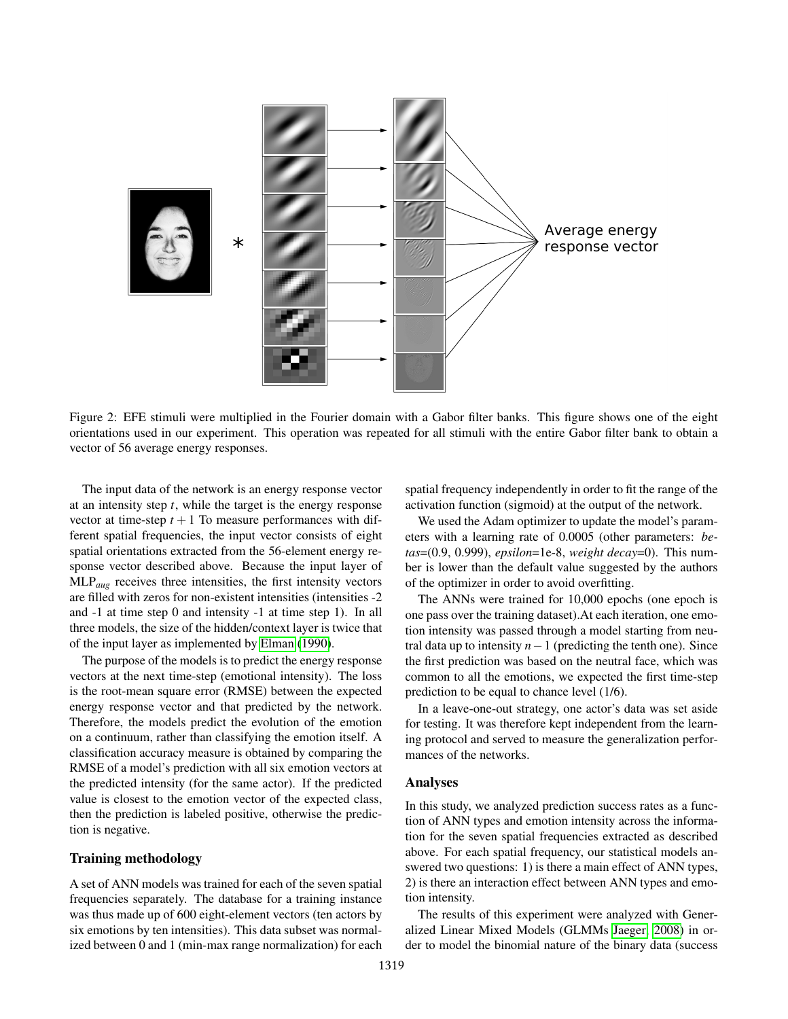

Figure 2: EFE stimuli were multiplied in the Fourier domain with a Gabor filter banks. This figure shows one of the eight orientations used in our experiment. This operation was repeated for all stimuli with the entire Gabor filter bank to obtain a vector of 56 average energy responses.

The input data of the network is an energy response vector at an intensity step *t*, while the target is the energy response vector at time-step  $t + 1$  To measure performances with different spatial frequencies, the input vector consists of eight spatial orientations extracted from the 56-element energy response vector described above. Because the input layer of MLP*aug* receives three intensities, the first intensity vectors are filled with zeros for non-existent intensities (intensities -2 and -1 at time step 0 and intensity -1 at time step 1). In all three models, the size of the hidden/context layer is twice that of the input layer as implemented by [Elman](#page-5-14) [\(1990\)](#page-5-14).

The purpose of the models is to predict the energy response vectors at the next time-step (emotional intensity). The loss is the root-mean square error (RMSE) between the expected energy response vector and that predicted by the network. Therefore, the models predict the evolution of the emotion on a continuum, rather than classifying the emotion itself. A classification accuracy measure is obtained by comparing the RMSE of a model's prediction with all six emotion vectors at the predicted intensity (for the same actor). If the predicted value is closest to the emotion vector of the expected class, then the prediction is labeled positive, otherwise the prediction is negative.

### Training methodology

A set of ANN models was trained for each of the seven spatial frequencies separately. The database for a training instance was thus made up of 600 eight-element vectors (ten actors by six emotions by ten intensities). This data subset was normalized between 0 and 1 (min-max range normalization) for each spatial frequency independently in order to fit the range of the activation function (sigmoid) at the output of the network.

We used the Adam optimizer to update the model's parameters with a learning rate of 0.0005 (other parameters: *betas*=(0.9, 0.999), *epsilon*=1e-8, *weight decay*=0). This number is lower than the default value suggested by the authors of the optimizer in order to avoid overfitting.

The ANNs were trained for 10,000 epochs (one epoch is one pass over the training dataset).At each iteration, one emotion intensity was passed through a model starting from neutral data up to intensity  $n-1$  (predicting the tenth one). Since the first prediction was based on the neutral face, which was common to all the emotions, we expected the first time-step prediction to be equal to chance level (1/6).

In a leave-one-out strategy, one actor's data was set aside for testing. It was therefore kept independent from the learning protocol and served to measure the generalization performances of the networks.

### Analyses

In this study, we analyzed prediction success rates as a function of ANN types and emotion intensity across the information for the seven spatial frequencies extracted as described above. For each spatial frequency, our statistical models answered two questions: 1) is there a main effect of ANN types, 2) is there an interaction effect between ANN types and emotion intensity.

The results of this experiment were analyzed with Generalized Linear Mixed Models (GLMMs [Jaeger, 2008\)](#page-5-15) in order to model the binomial nature of the binary data (success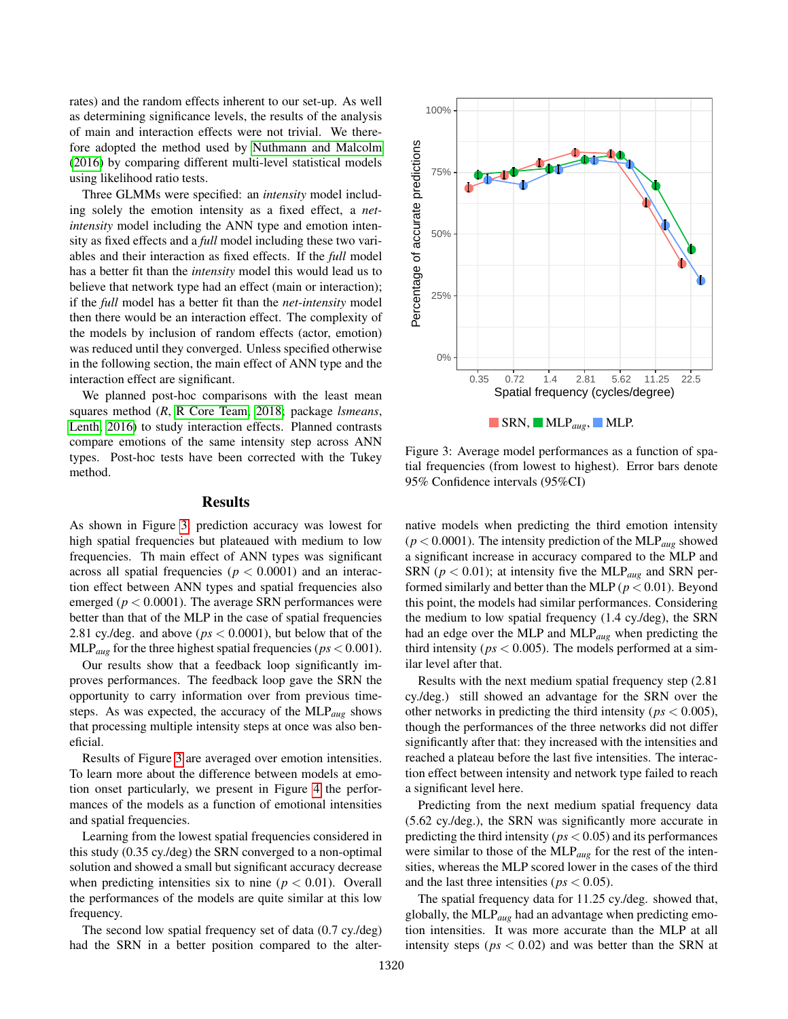rates) and the random effects inherent to our set-up. As well as determining significance levels, the results of the analysis of main and interaction effects were not trivial. We therefore adopted the method used by [Nuthmann and Malcolm](#page-6-6) [\(2016\)](#page-6-6) by comparing different multi-level statistical models using likelihood ratio tests.

Three GLMMs were specified: an *intensity* model including solely the emotion intensity as a fixed effect, a *netintensity* model including the ANN type and emotion intensity as fixed effects and a *full* model including these two variables and their interaction as fixed effects. If the *full* model has a better fit than the *intensity* model this would lead us to believe that network type had an effect (main or interaction); if the *full* model has a better fit than the *net-intensity* model then there would be an interaction effect. The complexity of the models by inclusion of random effects (actor, emotion) was reduced until they converged. Unless specified otherwise in the following section, the main effect of ANN type and the interaction effect are significant.

We planned post-hoc comparisons with the least mean squares method (*R*, [R Core Team, 2018;](#page-6-7) package *lsmeans*, [Lenth, 2016\)](#page-5-16) to study interaction effects. Planned contrasts compare emotions of the same intensity step across ANN types. Post-hoc tests have been corrected with the Tukey method.

### Results

As shown in Figure [3,](#page-3-0) prediction accuracy was lowest for high spatial frequencies but plateaued with medium to low frequencies. Th main effect of ANN types was significant across all spatial frequencies ( $p < 0.0001$ ) and an interaction effect between ANN types and spatial frequencies also emerged ( $p < 0.0001$ ). The average SRN performances were better than that of the MLP in the case of spatial frequencies 2.81 cy./deg. and above (*ps* < 0.0001), but below that of the  $MLP_{aug}$  for the three highest spatial frequencies ( $ps < 0.001$ ).

Our results show that a feedback loop significantly improves performances. The feedback loop gave the SRN the opportunity to carry information over from previous timesteps. As was expected, the accuracy of the MLP*aug* shows that processing multiple intensity steps at once was also beneficial.

Results of Figure [3](#page-3-0) are averaged over emotion intensities. To learn more about the difference between models at emotion onset particularly, we present in Figure [4](#page-4-0) the performances of the models as a function of emotional intensities and spatial frequencies.

Learning from the lowest spatial frequencies considered in this study (0.35 cy./deg) the SRN converged to a non-optimal solution and showed a small but significant accuracy decrease when predicting intensities six to nine ( $p < 0.01$ ). Overall the performances of the models are quite similar at this low frequency.

The second low spatial frequency set of data (0.7 cy./deg) had the SRN in a better position compared to the alter-



<span id="page-3-0"></span>Figure 3: Average model performances as a function of spatial frequencies (from lowest to highest). Error bars denote 95% Confidence intervals (95%CI)

native models when predicting the third emotion intensity  $(p < 0.0001)$ . The intensity prediction of the MLP<sub>aug</sub> showed a significant increase in accuracy compared to the MLP and SRN ( $p < 0.01$ ); at intensity five the MLP<sub>aug</sub> and SRN performed similarly and better than the MLP ( $p < 0.01$ ). Beyond this point, the models had similar performances. Considering the medium to low spatial frequency (1.4 cy./deg), the SRN had an edge over the MLP and MLP*aug* when predicting the third intensity ( $ps < 0.005$ ). The models performed at a similar level after that.

Results with the next medium spatial frequency step (2.81 cy./deg.) still showed an advantage for the SRN over the other networks in predicting the third intensity (*ps* < 0.005), though the performances of the three networks did not differ significantly after that: they increased with the intensities and reached a plateau before the last five intensities. The interaction effect between intensity and network type failed to reach a significant level here.

Predicting from the next medium spatial frequency data (5.62 cy./deg.), the SRN was significantly more accurate in predicting the third intensity (*ps* < 0.05) and its performances were similar to those of the MLP*aug* for the rest of the intensities, whereas the MLP scored lower in the cases of the third and the last three intensities ( $ps < 0.05$ ).

The spatial frequency data for 11.25 cy./deg. showed that, globally, the MLP*aug* had an advantage when predicting emotion intensities. It was more accurate than the MLP at all intensity steps ( $ps < 0.02$ ) and was better than the SRN at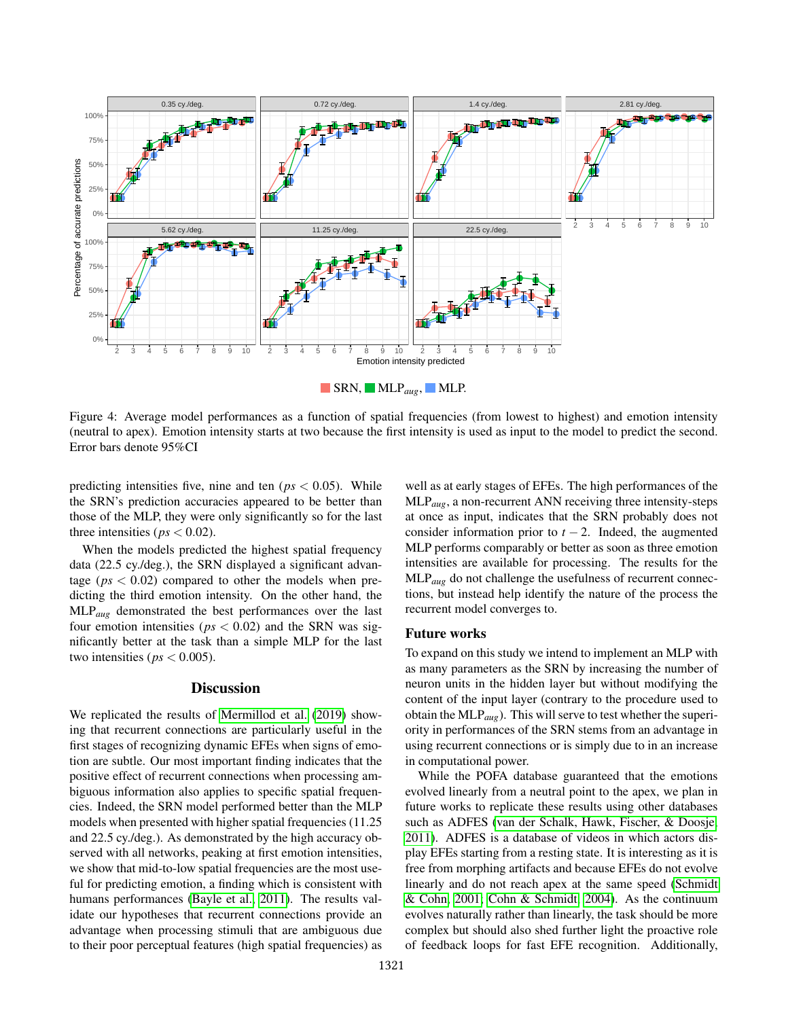

<span id="page-4-0"></span>Figure 4: Average model performances as a function of spatial frequencies (from lowest to highest) and emotion intensity (neutral to apex). Emotion intensity starts at two because the first intensity is used as input to the model to predict the second. Error bars denote 95%CI

predicting intensities five, nine and ten ( $ps < 0.05$ ). While the SRN's prediction accuracies appeared to be better than those of the MLP, they were only significantly so for the last three intensities ( $ps < 0.02$ ).

When the models predicted the highest spatial frequency data (22.5 cy./deg.), the SRN displayed a significant advantage ( $ps < 0.02$ ) compared to other the models when predicting the third emotion intensity. On the other hand, the MLP*aug* demonstrated the best performances over the last four emotion intensities ( $ps < 0.02$ ) and the SRN was significantly better at the task than a simple MLP for the last two intensities ( $ps < 0.005$ ).

# **Discussion**

We replicated the results of [Mermillod et al.](#page-5-9) [\(2019\)](#page-5-9) showing that recurrent connections are particularly useful in the first stages of recognizing dynamic EFEs when signs of emotion are subtle. Our most important finding indicates that the positive effect of recurrent connections when processing ambiguous information also applies to specific spatial frequencies. Indeed, the SRN model performed better than the MLP models when presented with higher spatial frequencies (11.25 and 22.5 cy./deg.). As demonstrated by the high accuracy observed with all networks, peaking at first emotion intensities, we show that mid-to-low spatial frequencies are the most useful for predicting emotion, a finding which is consistent with humans performances [\(Bayle et al., 2011\)](#page-5-6). The results validate our hypotheses that recurrent connections provide an advantage when processing stimuli that are ambiguous due to their poor perceptual features (high spatial frequencies) as well as at early stages of EFEs. The high performances of the MLP*aug*, a non-recurrent ANN receiving three intensity-steps at once as input, indicates that the SRN probably does not consider information prior to  $t - 2$ . Indeed, the augmented MLP performs comparably or better as soon as three emotion intensities are available for processing. The results for the MLP*aug* do not challenge the usefulness of recurrent connections, but instead help identify the nature of the process the recurrent model converges to.

### Future works

To expand on this study we intend to implement an MLP with as many parameters as the SRN by increasing the number of neuron units in the hidden layer but without modifying the content of the input layer (contrary to the procedure used to obtain the MLP*aug*). This will serve to test whether the superiority in performances of the SRN stems from an advantage in using recurrent connections or is simply due to in an increase in computational power.

While the POFA database guaranteed that the emotions evolved linearly from a neutral point to the apex, we plan in future works to replicate these results using other databases such as ADFES [\(van der Schalk, Hawk, Fischer, & Doosje,](#page-6-8) [2011\)](#page-6-8). ADFES is a database of videos in which actors display EFEs starting from a resting state. It is interesting as it is free from morphing artifacts and because EFEs do not evolve linearly and do not reach apex at the same speed [\(Schmidt](#page-6-9) [& Cohn, 2001;](#page-6-9) [Cohn & Schmidt, 2004\)](#page-5-17). As the continuum evolves naturally rather than linearly, the task should be more complex but should also shed further light the proactive role of feedback loops for fast EFE recognition. Additionally,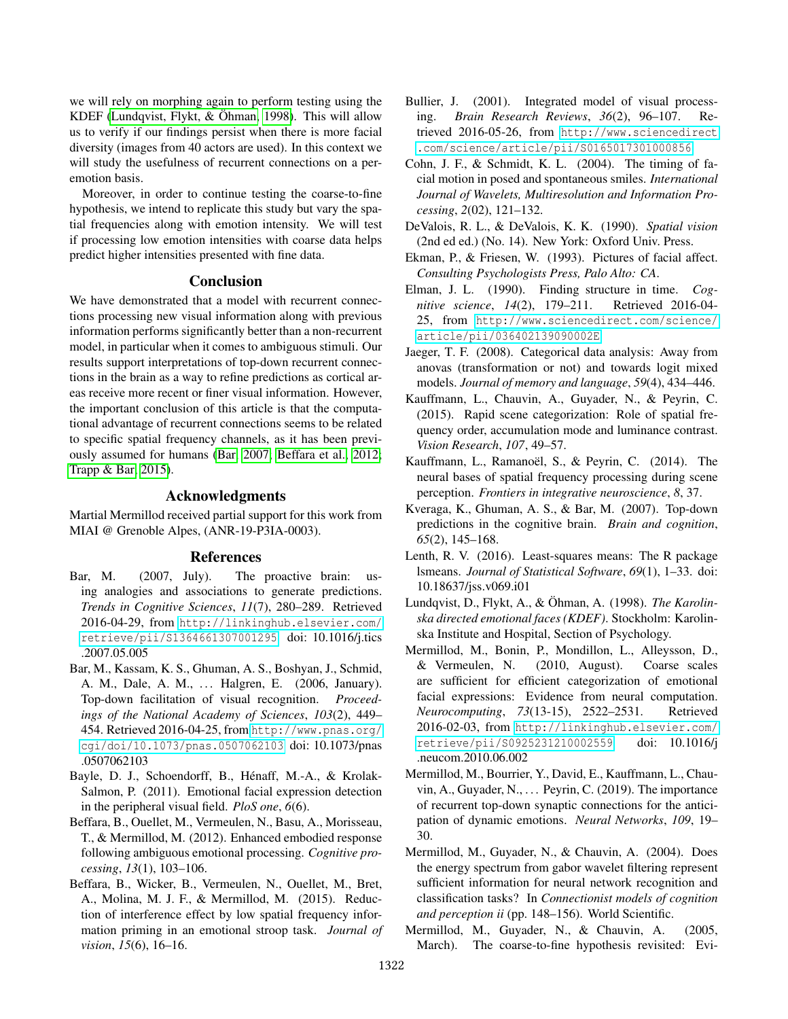we will rely on morphing again to perform testing using the KDEF (Lundqvist, Flykt,  $& Õh$ man, [1998\)](#page-5-18). This will allow us to verify if our findings persist when there is more facial diversity (images from 40 actors are used). In this context we will study the usefulness of recurrent connections on a peremotion basis.

Moreover, in order to continue testing the coarse-to-fine hypothesis, we intend to replicate this study but vary the spatial frequencies along with emotion intensity. We will test if processing low emotion intensities with coarse data helps predict higher intensities presented with fine data.

# Conclusion

We have demonstrated that a model with recurrent connections processing new visual information along with previous information performs significantly better than a non-recurrent model, in particular when it comes to ambiguous stimuli. Our results support interpretations of top-down recurrent connections in the brain as a way to refine predictions as cortical areas receive more recent or finer visual information. However, the important conclusion of this article is that the computational advantage of recurrent connections seems to be related to specific spatial frequency channels, as it has been previously assumed for humans [\(Bar, 2007;](#page-5-0) [Beffara et al., 2012;](#page-5-19) [Trapp & Bar, 2015\)](#page-6-0).

# Acknowledgments

Martial Mermillod received partial support for this work from MIAI @ Grenoble Alpes, (ANR-19-P3IA-0003).

### References

- <span id="page-5-0"></span>Bar, M. (2007, July). The proactive brain: using analogies and associations to generate predictions. *Trends in Cognitive Sciences*, *11*(7), 280–289. Retrieved 2016-04-29, from [http://linkinghub.elsevier.com/](http://linkinghub.elsevier.com/retrieve/pii/S1364661307001295) [retrieve/pii/S1364661307001295](http://linkinghub.elsevier.com/retrieve/pii/S1364661307001295) doi: 10.1016/j.tics .2007.05.005
- <span id="page-5-1"></span>Bar, M., Kassam, K. S., Ghuman, A. S., Boshyan, J., Schmid, A. M., Dale, A. M., ... Halgren, E. (2006, January). Top-down facilitation of visual recognition. *Proceedings of the National Academy of Sciences*, *103*(2), 449– 454. Retrieved 2016-04-25, from [http://www.pnas.org/](http://www.pnas.org/cgi/doi/10.1073/pnas.0507062103) [cgi/doi/10.1073/pnas.0507062103](http://www.pnas.org/cgi/doi/10.1073/pnas.0507062103) doi: 10.1073/pnas .0507062103
- <span id="page-5-6"></span>Bayle, D. J., Schoendorff, B., Hénaff, M.-A., & Krolak-Salmon, P. (2011). Emotional facial expression detection in the peripheral visual field. *PloS one*, *6*(6).
- <span id="page-5-19"></span>Beffara, B., Ouellet, M., Vermeulen, N., Basu, A., Morisseau, T., & Mermillod, M. (2012). Enhanced embodied response following ambiguous emotional processing. *Cognitive processing*, *13*(1), 103–106.
- <span id="page-5-8"></span>Beffara, B., Wicker, B., Vermeulen, N., Ouellet, M., Bret, A., Molina, M. J. F., & Mermillod, M. (2015). Reduction of interference effect by low spatial frequency information priming in an emotional stroop task. *Journal of vision*, *15*(6), 16–16.
- <span id="page-5-2"></span>Bullier, J. (2001). Integrated model of visual processing. *Brain Research Reviews*, *36*(2), 96–107. Retrieved 2016-05-26, from [http://www.sciencedirect](http://www.sciencedirect.com/science/article/pii/S0165017301000856) [.com/science/article/pii/S0165017301000856](http://www.sciencedirect.com/science/article/pii/S0165017301000856)
- <span id="page-5-17"></span>Cohn, J. F., & Schmidt, K. L. (2004). The timing of facial motion in posed and spontaneous smiles. *International Journal of Wavelets, Multiresolution and Information Processing*, *2*(02), 121–132.
- <span id="page-5-12"></span>DeValois, R. L., & DeValois, K. K. (1990). *Spatial vision* (2nd ed ed.) (No. 14). New York: Oxford Univ. Press.
- <span id="page-5-11"></span>Ekman, P., & Friesen, W. (1993). Pictures of facial affect. *Consulting Psychologists Press, Palo Alto: CA*.
- <span id="page-5-14"></span>Elman, J. L. (1990). Finding structure in time. *Cognitive science*, *14*(2), 179–211. Retrieved 2016-04- 25, from [http://www.sciencedirect.com/science/](http://www.sciencedirect.com/science/article/pii/036402139090002E) [article/pii/036402139090002E](http://www.sciencedirect.com/science/article/pii/036402139090002E)
- <span id="page-5-15"></span>Jaeger, T. F. (2008). Categorical data analysis: Away from anovas (transformation or not) and towards logit mixed models. *Journal of memory and language*, *59*(4), 434–446.
- <span id="page-5-4"></span>Kauffmann, L., Chauvin, A., Guyader, N., & Peyrin, C. (2015). Rapid scene categorization: Role of spatial frequency order, accumulation mode and luminance contrast. *Vision Research*, *107*, 49–57.
- <span id="page-5-3"></span>Kauffmann, L., Ramanoël, S., & Peyrin, C. (2014). The neural bases of spatial frequency processing during scene perception. *Frontiers in integrative neuroscience*, *8*, 37.
- <span id="page-5-7"></span>Kveraga, K., Ghuman, A. S., & Bar, M. (2007). Top-down predictions in the cognitive brain. *Brain and cognition*, *65*(2), 145–168.
- <span id="page-5-16"></span>Lenth, R. V. (2016). Least-squares means: The R package lsmeans. *Journal of Statistical Software*, *69*(1), 1–33. doi: 10.18637/jss.v069.i01
- <span id="page-5-18"></span>Lundqvist, D., Flykt, A., & Öhman, A. (1998). *The Karolinska directed emotional faces (KDEF)*. Stockholm: Karolinska Institute and Hospital, Section of Psychology.
- <span id="page-5-5"></span>Mermillod, M., Bonin, P., Mondillon, L., Alleysson, D., & Vermeulen, N. (2010, August). Coarse scales are sufficient for efficient categorization of emotional facial expressions: Evidence from neural computation. *Neurocomputing*, *73*(13-15), 2522–2531. Retrieved 2016-02-03, from [http://linkinghub.elsevier.com/](http://linkinghub.elsevier.com/retrieve/pii/S0925231210002559) [retrieve/pii/S0925231210002559](http://linkinghub.elsevier.com/retrieve/pii/S0925231210002559) doi: 10.1016/j .neucom.2010.06.002
- <span id="page-5-9"></span>Mermillod, M., Bourrier, Y., David, E., Kauffmann, L., Chauvin, A., Guyader, N.,  $\dots$  Peyrin, C. (2019). The importance of recurrent top-down synaptic connections for the anticipation of dynamic emotions. *Neural Networks*, *109*, 19– 30.
- <span id="page-5-13"></span>Mermillod, M., Guyader, N., & Chauvin, A. (2004). Does the energy spectrum from gabor wavelet filtering represent sufficient information for neural network recognition and classification tasks? In *Connectionist models of cognition and perception ii* (pp. 148–156). World Scientific.
- <span id="page-5-10"></span>Mermillod, M., Guyader, N., & Chauvin, A. (2005, March). The coarse-to-fine hypothesis revisited: Evi-